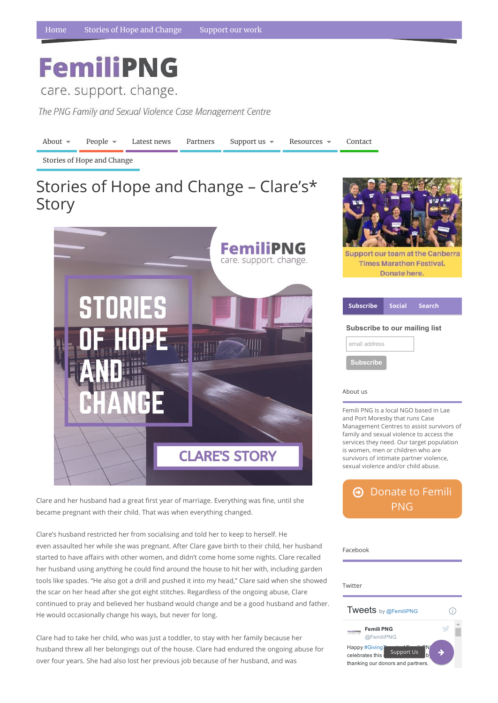## **FemiliPNG**

care. support. change.

The PNG Family and Sexual Violence Case Management Centre

Femili PNG is a local NGO based in Lae Management Centres to assist survivors of family and sexual violence to access the services they need. Our target population survivors of intimate partner violence,

 $\Theta$  [Donate](https://www.femilipng.org/donate/) to Femili PNG

## Facebook

Clare and her husband had a great first year of marriage. Everything was fine, until she became pregnant with their child. That was when everything changed.

Support our team at the Canberra

| <b>Subscribe</b>                     |  | Social Search |
|--------------------------------------|--|---------------|
| <b>Subscribe to our mailing list</b> |  |               |
| email address                        |  |               |
| <b>Subscribe</b>                     |  |               |





Clare's husband restricted her from socialising and told her to keep to herself. He even assaulted her while she was pregnant. After Clare gave birth to their child, her husband started to have affairs with other women, and didn't come home some nights. Clare recalled her husband using anything he could find around the house to hit her with, including garden tools like spades. "He also got a drill and pushed it into my head," Clare said when she showed the scar on her head after she got eight stitches. Regardless of the ongoing abuse, Clare continued to pray and believed her husband would change and be a good husband and father. He would occasionally change his ways, but never for long.

Clare had to take her child, who was just a toddler, to stay with her family because her husband threw all her belongings out of the house. Clare had endured the ongoing abuse for over four years. She had also lost her previous job because of her husband, and was